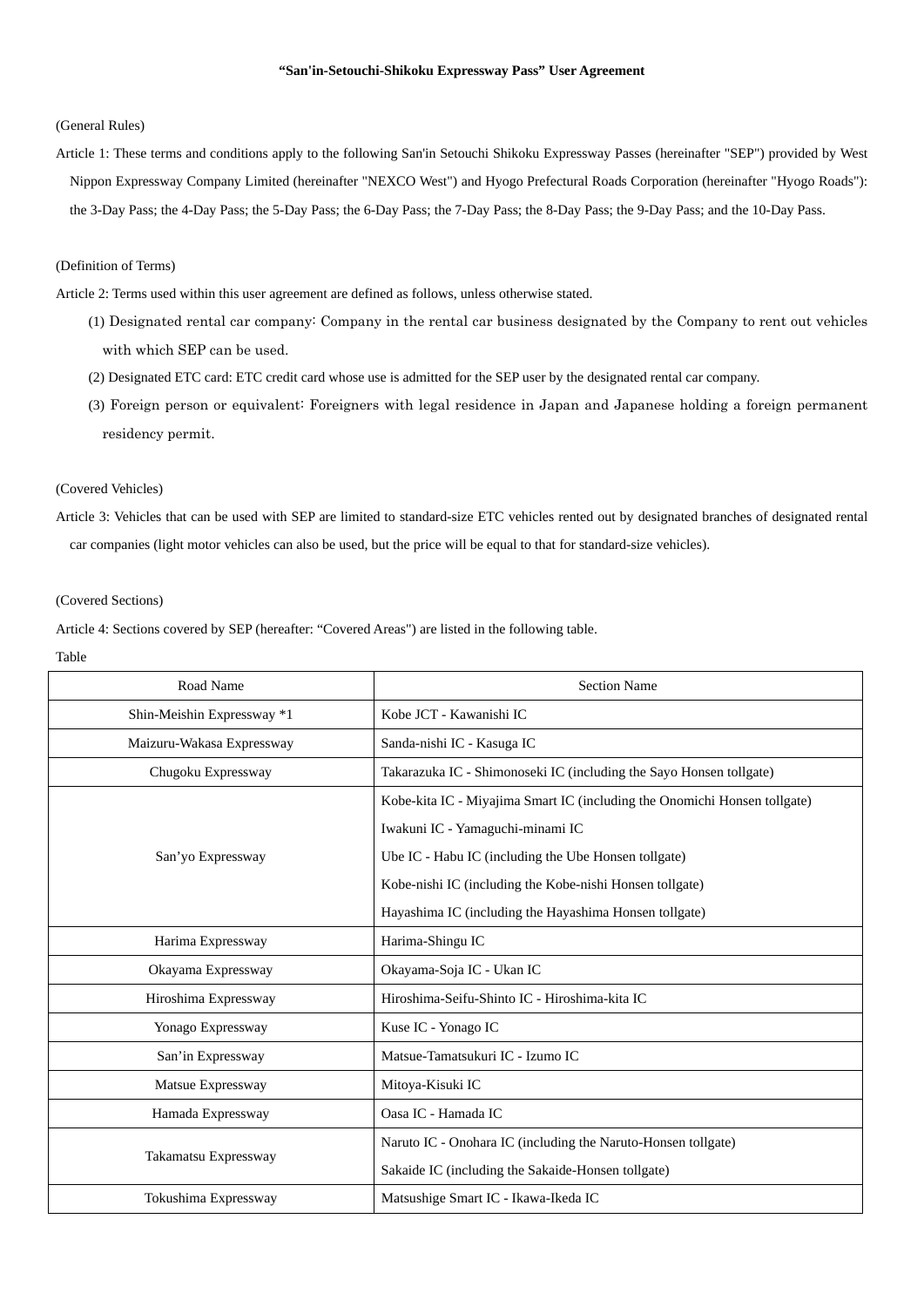### **"San'in-Setouchi-Shikoku Expressway Pass" User Agreement**

### (General Rules)

Article 1: These terms and conditions apply to the following San'in Setouchi Shikoku Expressway Passes (hereinafter "SEP") provided by West Nippon Expressway Company Limited (hereinafter "NEXCO West") and Hyogo Prefectural Roads Corporation (hereinafter "Hyogo Roads"): the 3-Day Pass; the 4-Day Pass; the 5-Day Pass; the 6-Day Pass; the 7-Day Pass; the 8-Day Pass; the 9-Day Pass; and the 10-Day Pass.

# (Definition of Terms)

Article 2: Terms used within this user agreement are defined as follows, unless otherwise stated.

- (1) Designated rental car company: Company in the rental car business designated by the Company to rent out vehicles with which SEP can be used.
- (2) Designated ETC card: ETC credit card whose use is admitted for the SEP user by the designated rental car company.
- (3) Foreign person or equivalent: Foreigners with legal residence in Japan and Japanese holding a foreign permanent residency permit.

# (Covered Vehicles)

Article 3: Vehicles that can be used with SEP are limited to standard-size ETC vehicles rented out by designated branches of designated rental car companies (light motor vehicles can also be used, but the price will be equal to that for standard-size vehicles).

### (Covered Sections)

Article 4: Sections covered by SEP (hereafter: "Covered Areas") are listed in the following table.

Table

| Road Name                  | <b>Section Name</b>                                                       |
|----------------------------|---------------------------------------------------------------------------|
| Shin-Meishin Expressway *1 | Kobe JCT - Kawanishi IC                                                   |
| Maizuru-Wakasa Expressway  | Sanda-nishi IC - Kasuga IC                                                |
| Chugoku Expressway         | Takarazuka IC - Shimonoseki IC (including the Sayo Honsen tollgate)       |
| San'yo Expressway          | Kobe-kita IC - Miyajima Smart IC (including the Onomichi Honsen tollgate) |
|                            | Iwakuni IC - Yamaguchi-minami IC                                          |
|                            | Ube IC - Habu IC (including the Ube Honsen tollgate)                      |
|                            | Kobe-nishi IC (including the Kobe-nishi Honsen tollgate)                  |
|                            | Hayashima IC (including the Hayashima Honsen tollgate)                    |
| Harima Expressway          | Harima-Shingu IC                                                          |
| Okayama Expressway         | Okayama-Soja IC - Ukan IC                                                 |
| Hiroshima Expressway       | Hiroshima-Seifu-Shinto IC - Hiroshima-kita IC                             |
| Yonago Expressway          | Kuse IC - Yonago IC                                                       |
| San'in Expressway          | Matsue-Tamatsukuri IC - Izumo IC                                          |
| Matsue Expressway          | Mitoya-Kisuki IC                                                          |
| Hamada Expressway          | Oasa IC - Hamada IC                                                       |
| Takamatsu Expressway       | Naruto IC - Onohara IC (including the Naruto-Honsen tollgate)             |
|                            | Sakaide IC (including the Sakaide-Honsen tollgate)                        |
| Tokushima Expressway       | Matsushige Smart IC - Ikawa-Ikeda IC                                      |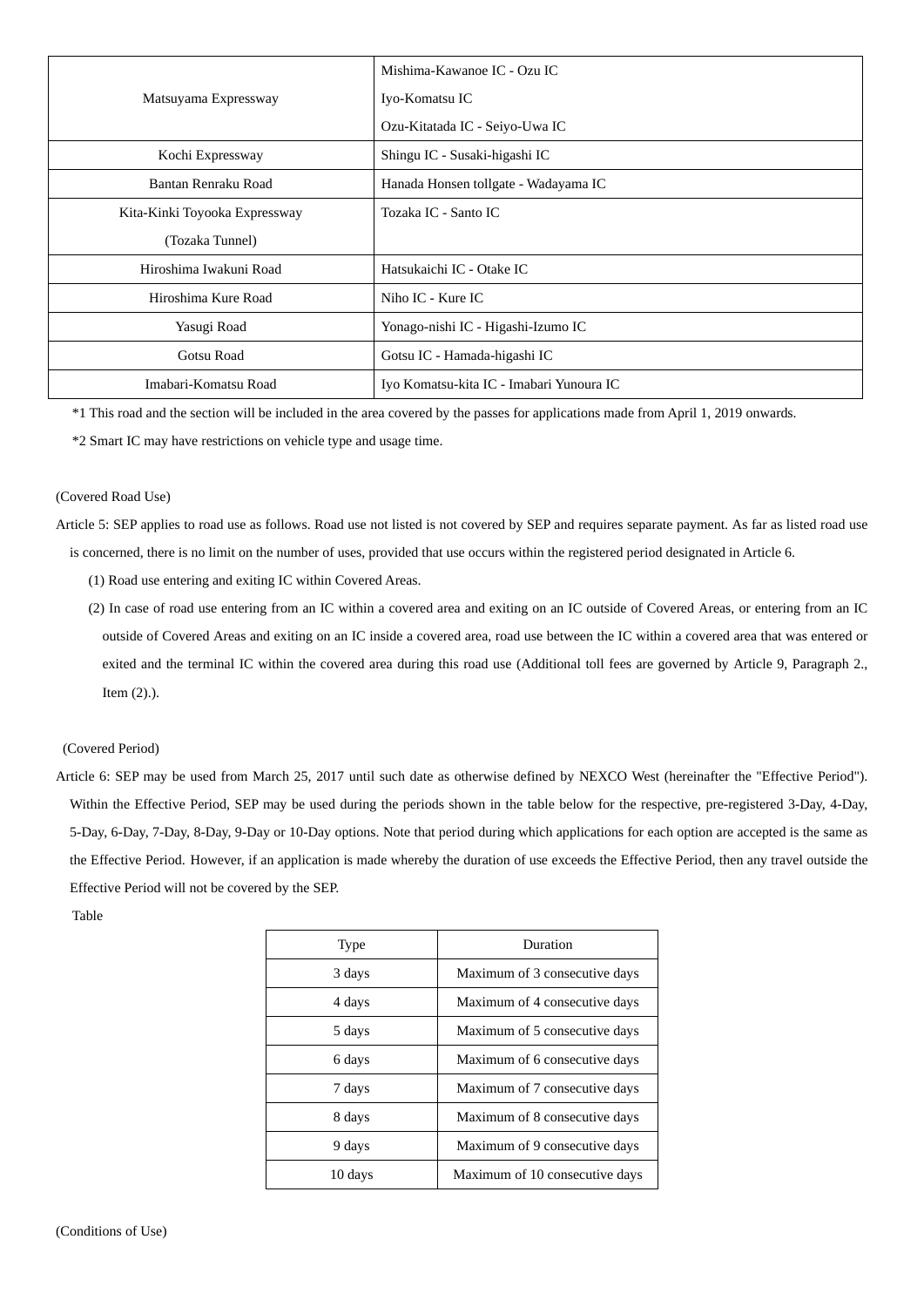|                               | Mishima-Kawanoe IC - Ozu IC              |
|-------------------------------|------------------------------------------|
| Matsuyama Expressway          | Iyo-Komatsu IC                           |
|                               | Ozu-Kitatada IC - Seiyo-Uwa IC           |
| Kochi Expressway              | Shingu IC - Susaki-higashi IC            |
| Bantan Renraku Road           | Hanada Honsen tollgate - Wadayama IC     |
| Kita-Kinki Toyooka Expressway | Tozaka IC - Santo IC                     |
| (Tozaka Tunnel)               |                                          |
| Hiroshima Iwakuni Road        | Hatsukaichi IC - Otake IC                |
| Hiroshima Kure Road           | Niho IC - Kure IC                        |
| Yasugi Road                   | Yonago-nishi IC - Higashi-Izumo IC       |
| Gotsu Road                    | Gotsu IC - Hamada-higashi IC             |
| Imabari-Komatsu Road          | Iyo Komatsu-kita IC - Imabari Yunoura IC |

\*1 This road and the section will be included in the area covered by the passes for applications made from April 1, 2019 onwards.

\*2 Smart IC may have restrictions on vehicle type and usage time.

## (Covered Road Use)

Article 5: SEP applies to road use as follows. Road use not listed is not covered by SEP and requires separate payment. As far as listed road use is concerned, there is no limit on the number of uses, provided that use occurs within the registered period designated in Article 6.

- (1) Road use entering and exiting IC within Covered Areas.
- (2) In case of road use entering from an IC within a covered area and exiting on an IC outside of Covered Areas, or entering from an IC outside of Covered Areas and exiting on an IC inside a covered area, road use between the IC within a covered area that was entered or exited and the terminal IC within the covered area during this road use (Additional toll fees are governed by Article 9, Paragraph 2., Item (2).).

### (Covered Period)

Article 6: SEP may be used from March 25, 2017 until such date as otherwise defined by NEXCO West (hereinafter the "Effective Period"). Within the Effective Period, SEP may be used during the periods shown in the table below for the respective, pre-registered 3-Day, 4-Day, 5-Day, 6-Day, 7-Day, 8-Day, 9-Day or 10-Day options. Note that period during which applications for each option are accepted is the same as the Effective Period. However, if an application is made whereby the duration of use exceeds the Effective Period, then any travel outside the Effective Period will not be covered by the SEP.

Table

| Type    | Duration                       |
|---------|--------------------------------|
| 3 days  | Maximum of 3 consecutive days  |
| 4 days  | Maximum of 4 consecutive days  |
| 5 days  | Maximum of 5 consecutive days  |
| 6 days  | Maximum of 6 consecutive days  |
| 7 days  | Maximum of 7 consecutive days  |
| 8 days  | Maximum of 8 consecutive days  |
| 9 days  | Maximum of 9 consecutive days  |
| 10 days | Maximum of 10 consecutive days |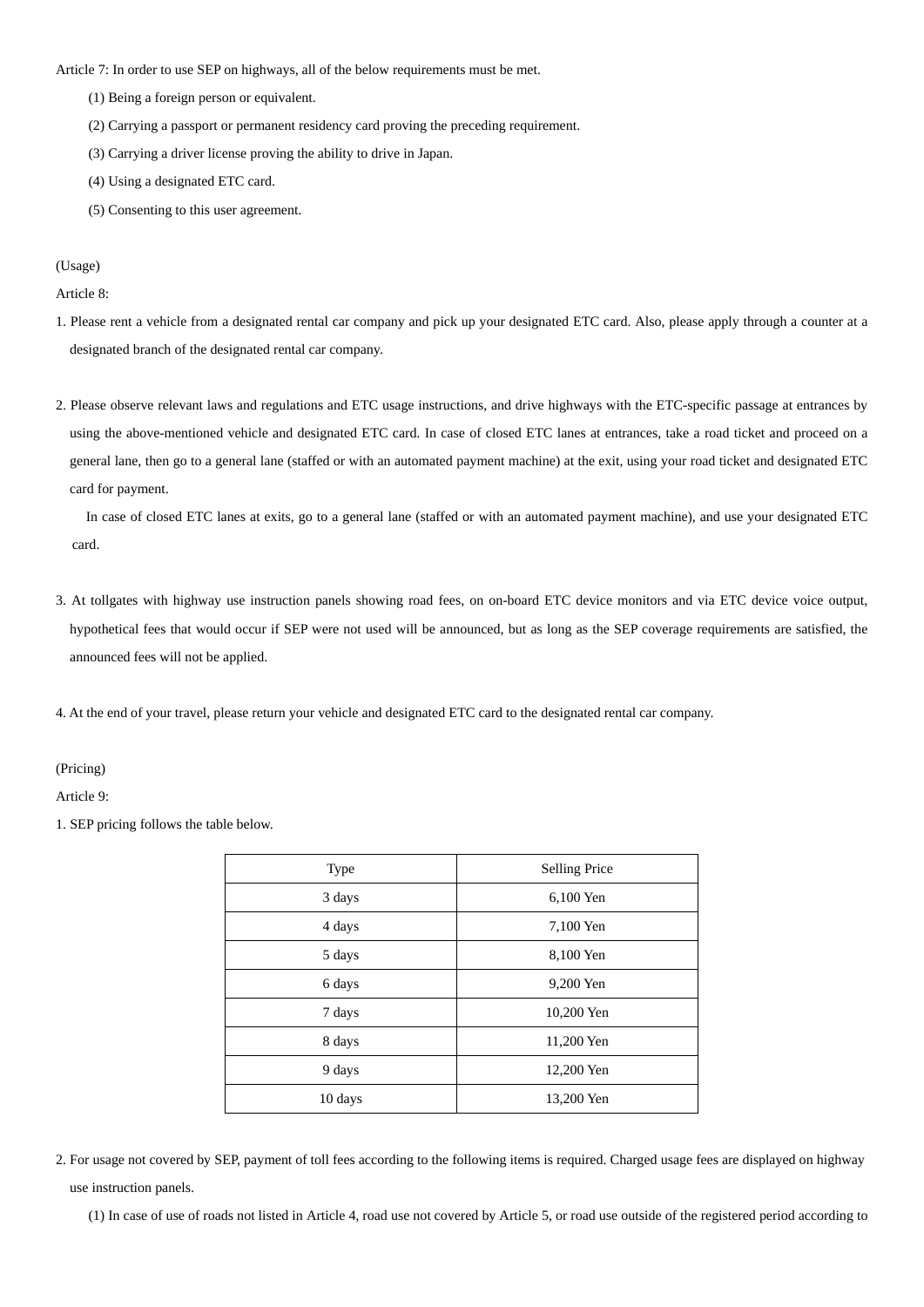Article 7: In order to use SEP on highways, all of the below requirements must be met.

- (1) Being a foreign person or equivalent.
- (2) Carrying a passport or permanent residency card proving the preceding requirement.
- (3) Carrying a driver license proving the ability to drive in Japan.
- (4) Using a designated ETC card.
- (5) Consenting to this user agreement.

(Usage)

Article 8:

- 1. Please rent a vehicle from a designated rental car company and pick up your designated ETC card. Also, please apply through a counter at a designated branch of the designated rental car company.
- 2. Please observe relevant laws and regulations and ETC usage instructions, and drive highways with the ETC-specific passage at entrances by using the above-mentioned vehicle and designated ETC card. In case of closed ETC lanes at entrances, take a road ticket and proceed on a general lane, then go to a general lane (staffed or with an automated payment machine) at the exit, using your road ticket and designated ETC card for payment.

In case of closed ETC lanes at exits, go to a general lane (staffed or with an automated payment machine), and use your designated ETC card.

3. At tollgates with highway use instruction panels showing road fees, on on-board ETC device monitors and via ETC device voice output, hypothetical fees that would occur if SEP were not used will be announced, but as long as the SEP coverage requirements are satisfied, the announced fees will not be applied.

4. At the end of your travel, please return your vehicle and designated ETC card to the designated rental car company.

(Pricing)

Article 9:

1. SEP pricing follows the table below.

| Type    | <b>Selling Price</b> |
|---------|----------------------|
| 3 days  | 6,100 Yen            |
| 4 days  | 7,100 Yen            |
| 5 days  | 8,100 Yen            |
| 6 days  | 9,200 Yen            |
| 7 days  | 10,200 Yen           |
| 8 days  | 11,200 Yen           |
| 9 days  | 12,200 Yen           |
| 10 days | 13,200 Yen           |

2. For usage not covered by SEP, payment of toll fees according to the following items is required. Charged usage fees are displayed on highway use instruction panels.

(1) In case of use of roads not listed in Article 4, road use not covered by Article 5, or road use outside of the registered period according to